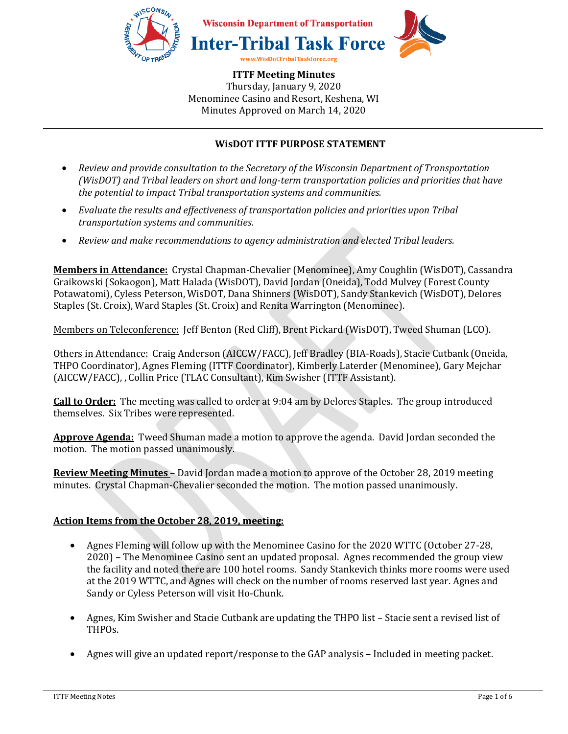

## **WisDOT ITTF PURPOSE STATEMENT**

- *Review and provide consultation to the Secretary of the Wisconsin Department of Transportation (WisDOT) and Tribal leaders on short and long-term transportation policies and priorities that have the potential to impact Tribal transportation systems and communities.*
- *Evaluate the results and effectiveness of transportation policies and priorities upon Tribal transportation systems and communities.*
- *Review and make recommendations to agency administration and elected Tribal leaders.*

**Members in Attendance:** Crystal Chapman-Chevalier (Menominee), Amy Coughlin (WisDOT), Cassandra Graikowski (Sokaogon), Matt Halada (WisDOT), David Jordan (Oneida), Todd Mulvey (Forest County Potawatomi), Cyless Peterson, WisDOT, Dana Shinners (WisDOT), Sandy Stankevich (WisDOT), Delores Staples (St. Croix), Ward Staples (St. Croix) and Renita Warrington (Menominee).

Members on Teleconference: Jeff Benton (Red Cliff), Brent Pickard (WisDOT), Tweed Shuman (LCO).

Others in Attendance: Craig Anderson (AICCW/FACC), Jeff Bradley (BIA-Roads), Stacie Cutbank (Oneida, THPO Coordinator), Agnes Fleming (ITTF Coordinator), Kimberly Laterder (Menominee), Gary Mejchar (AICCW/FACC), , Collin Price (TLAC Consultant), Kim Swisher (ITTF Assistant).

**Call to Order:** The meeting was called to order at 9:04 am by Delores Staples. The group introduced themselves. Six Tribes were represented.

**Approve Agenda:** Tweed Shuman made a motion to approve the agenda. David Jordan seconded the motion. The motion passed unanimously.

**Review Meeting Minutes** – David Jordan made a motion to approve of the October 28, 2019 meeting minutes. Crystal Chapman-Chevalier seconded the motion. The motion passed unanimously.

### **Action Items from the October 28, 2019, meeting:**

- Agnes Fleming will follow up with the Menominee Casino for the 2020 WTTC (October 27-28, 2020) – The Menominee Casino sent an updated proposal. Agnes recommended the group view the facility and noted there are 100 hotel rooms. Sandy Stankevich thinks more rooms were used at the 2019 WTTC, and Agnes will check on the number of rooms reserved last year. Agnes and Sandy or Cyless Peterson will visit Ho-Chunk.
- Agnes, Kim Swisher and Stacie Cutbank are updating the THPO list Stacie sent a revised list of THPOs.
- Agnes will give an updated report/response to the GAP analysis Included in meeting packet.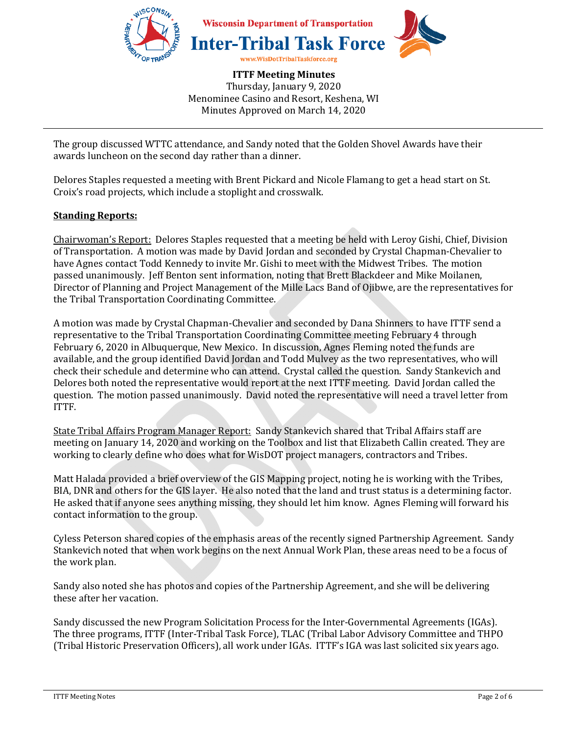

The group discussed WTTC attendance, and Sandy noted that the Golden Shovel Awards have their awards luncheon on the second day rather than a dinner.

Delores Staples requested a meeting with Brent Pickard and Nicole Flamang to get a head start on St. Croix's road projects, which include a stoplight and crosswalk.

#### **Standing Reports:**

Chairwoman's Report: Delores Staples requested that a meeting be held with Leroy Gishi, Chief, Division of Transportation. A motion was made by David Jordan and seconded by Crystal Chapman-Chevalier to have Agnes contact Todd Kennedy to invite Mr. Gishi to meet with the Midwest Tribes. The motion passed unanimously. Jeff Benton sent information, noting that Brett Blackdeer and Mike Moilanen, Director of Planning and Project Management of the Mille Lacs Band of Ojibwe, are the representatives for the Tribal Transportation Coordinating Committee.

A motion was made by Crystal Chapman-Chevalier and seconded by Dana Shinners to have ITTF send a representative to the Tribal Transportation Coordinating Committee meeting February 4 through February 6, 2020 in Albuquerque, New Mexico. In discussion, Agnes Fleming noted the funds are available, and the group identified David Jordan and Todd Mulvey as the two representatives, who will check their schedule and determine who can attend. Crystal called the question. Sandy Stankevich and Delores both noted the representative would report at the next ITTF meeting. David Jordan called the question. The motion passed unanimously. David noted the representative will need a travel letter from ITTF.

State Tribal Affairs Program Manager Report: Sandy Stankevich shared that Tribal Affairs staff are meeting on January 14, 2020 and working on the Toolbox and list that Elizabeth Callin created. They are working to clearly define who does what for WisDOT project managers, contractors and Tribes.

Matt Halada provided a brief overview of the GIS Mapping project, noting he is working with the Tribes, BIA, DNR and others for the GIS layer. He also noted that the land and trust status is a determining factor. He asked that if anyone sees anything missing, they should let him know. Agnes Fleming will forward his contact information to the group.

Cyless Peterson shared copies of the emphasis areas of the recently signed Partnership Agreement. Sandy Stankevich noted that when work begins on the next Annual Work Plan, these areas need to be a focus of the work plan.

Sandy also noted she has photos and copies of the Partnership Agreement, and she will be delivering these after her vacation.

Sandy discussed the new Program Solicitation Process for the Inter-Governmental Agreements (IGAs). The three programs, ITTF (Inter-Tribal Task Force), TLAC (Tribal Labor Advisory Committee and THPO (Tribal Historic Preservation Officers), all work under IGAs. ITTF's IGA was last solicited six years ago.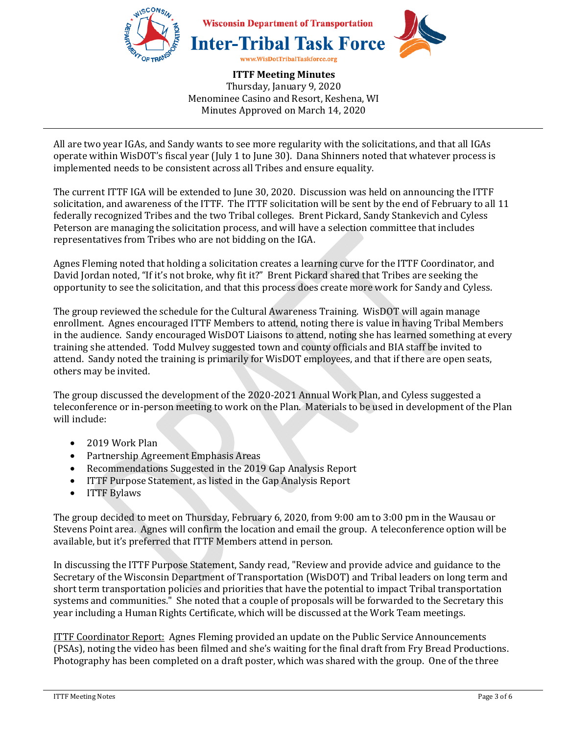

All are two year IGAs, and Sandy wants to see more regularity with the solicitations, and that all IGAs operate within WisDOT's fiscal year (July 1 to June 30). Dana Shinners noted that whatever process is implemented needs to be consistent across all Tribes and ensure equality.

The current ITTF IGA will be extended to June 30, 2020. Discussion was held on announcing the ITTF solicitation, and awareness of the ITTF. The ITTF solicitation will be sent by the end of February to all 11 federally recognized Tribes and the two Tribal colleges. Brent Pickard, Sandy Stankevich and Cyless Peterson are managing the solicitation process, and will have a selection committee that includes representatives from Tribes who are not bidding on the IGA.

Agnes Fleming noted that holding a solicitation creates a learning curve for the ITTF Coordinator, and David Jordan noted, "If it's not broke, why fit it?" Brent Pickard shared that Tribes are seeking the opportunity to see the solicitation, and that this process does create more work for Sandy and Cyless.

The group reviewed the schedule for the Cultural Awareness Training. WisDOT will again manage enrollment. Agnes encouraged ITTF Members to attend, noting there is value in having Tribal Members in the audience. Sandy encouraged WisDOT Liaisons to attend, noting she has learned something at every training she attended. Todd Mulvey suggested town and county officials and BIA staff be invited to attend. Sandy noted the training is primarily for WisDOT employees, and that if there are open seats, others may be invited.

The group discussed the development of the 2020-2021 Annual Work Plan, and Cyless suggested a teleconference or in-person meeting to work on the Plan. Materials to be used in development of the Plan will include:

- 2019 Work Plan
- Partnership Agreement Emphasis Areas
- Recommendations Suggested in the 2019 Gap Analysis Report
- ITTF Purpose Statement, as listed in the Gap Analysis Report
- ITTF Bylaws

The group decided to meet on Thursday, February 6, 2020, from 9:00 am to 3:00 pm in the Wausau or Stevens Point area. Agnes will confirm the location and email the group. A teleconference option will be available, but it's preferred that ITTF Members attend in person.

In discussing the ITTF Purpose Statement, Sandy read, "Review and provide advice and guidance to the Secretary of the Wisconsin Department of Transportation (WisDOT) and Tribal leaders on long term and short term transportation policies and priorities that have the potential to impact Tribal transportation systems and communities." She noted that a couple of proposals will be forwarded to the Secretary this year including a Human Rights Certificate, which will be discussed at the Work Team meetings.

**ITTF Coordinator Report: Agnes Fleming provided an update on the Public Service Announcements** (PSAs), noting the video has been filmed and she's waiting for the final draft from Fry Bread Productions. Photography has been completed on a draft poster, which was shared with the group. One of the three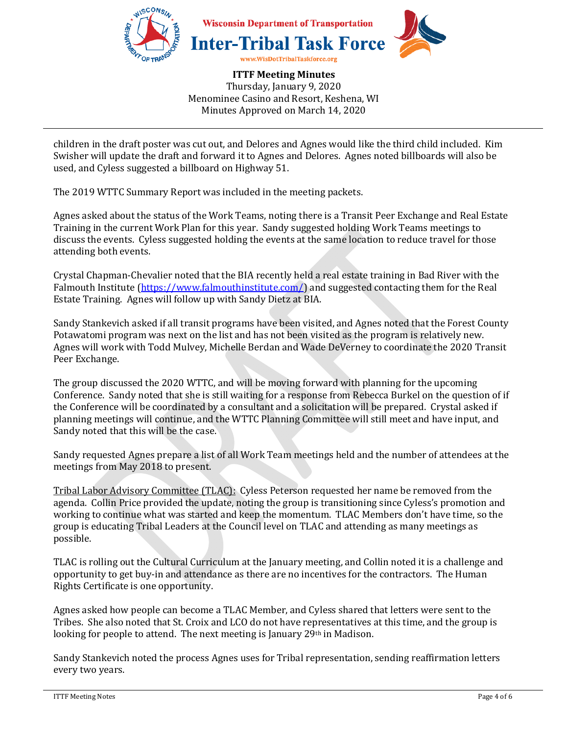

children in the draft poster was cut out, and Delores and Agnes would like the third child included. Kim Swisher will update the draft and forward it to Agnes and Delores. Agnes noted billboards will also be used, and Cyless suggested a billboard on Highway 51.

The 2019 WTTC Summary Report was included in the meeting packets.

Agnes asked about the status of the Work Teams, noting there is a Transit Peer Exchange and Real Estate Training in the current Work Plan for this year. Sandy suggested holding Work Teams meetings to discuss the events. Cyless suggested holding the events at the same location to reduce travel for those attending both events.

Crystal Chapman-Chevalier noted that the BIA recently held a real estate training in Bad River with the Falmouth Institute (https://www.falmouthinstitute.com/) and suggested contacting them for the Real Estate Training. Agnes will follow up with Sandy Dietz at BIA.

Sandy Stankevich asked if all transit programs have been visited, and Agnes noted that the Forest County Potawatomi program was next on the list and has not been visited as the program is relatively new. Agnes will work with Todd Mulvey, Michelle Berdan and Wade DeVerney to coordinate the 2020 Transit Peer Exchange.

The group discussed the 2020 WTTC, and will be moving forward with planning for the upcoming Conference. Sandy noted that she is still waiting for a response from Rebecca Burkel on the question of if the Conference will be coordinated by a consultant and a solicitation will be prepared. Crystal asked if planning meetings will continue, and the WTTC Planning Committee will still meet and have input, and Sandy noted that this will be the case.

Sandy requested Agnes prepare a list of all Work Team meetings held and the number of attendees at the meetings from May 2018 to present.

Tribal Labor Advisory Committee (TLAC): Cyless Peterson requested her name be removed from the agenda. Collin Price provided the update, noting the group is transitioning since Cyless's promotion and working to continue what was started and keep the momentum. TLAC Members don't have time, so the group is educating Tribal Leaders at the Council level on TLAC and attending as many meetings as possible.

TLAC is rolling out the Cultural Curriculum at the January meeting, and Collin noted it is a challenge and opportunity to get buy-in and attendance as there are no incentives for the contractors. The Human Rights Certificate is one opportunity.

Agnes asked how people can become a TLAC Member, and Cyless shared that letters were sent to the Tribes. She also noted that St. Croix and LCO do not have representatives at this time, and the group is looking for people to attend. The next meeting is January 29th in Madison.

Sandy Stankevich noted the process Agnes uses for Tribal representation, sending reaffirmation letters every two years.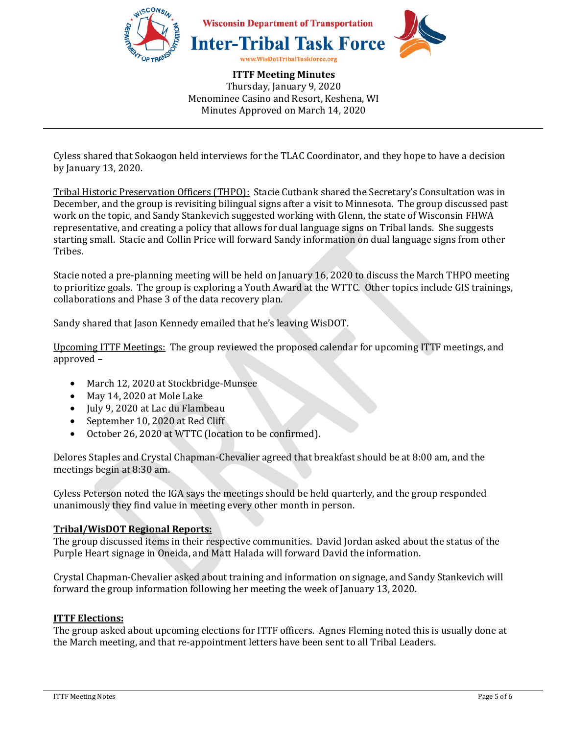

Cyless shared that Sokaogon held interviews for the TLAC Coordinator, and they hope to have a decision by January 13, 2020.

Tribal Historic Preservation Officers (THPO): Stacie Cutbank shared the Secretary's Consultation was in December, and the group is revisiting bilingual signs after a visit to Minnesota. The group discussed past work on the topic, and Sandy Stankevich suggested working with Glenn, the state of Wisconsin FHWA representative, and creating a policy that allows for dual language signs on Tribal lands. She suggests starting small. Stacie and Collin Price will forward Sandy information on dual language signs from other Tribes.

Stacie noted a pre-planning meeting will be held on January 16, 2020 to discuss the March THPO meeting to prioritize goals. The group is exploring a Youth Award at the WTTC. Other topics include GIS trainings, collaborations and Phase 3 of the data recovery plan.

Sandy shared that Jason Kennedy emailed that he's leaving WisDOT.

Upcoming ITTF Meetings: The group reviewed the proposed calendar for upcoming ITTF meetings, and approved –

- March 12, 2020 at Stockbridge-Munsee
- May 14, 2020 at Mole Lake
- July 9, 2020 at Lac du Flambeau
- September 10, 2020 at Red Cliff
- October 26, 2020 at WTTC (location to be confirmed).

Delores Staples and Crystal Chapman-Chevalier agreed that breakfast should be at 8:00 am, and the meetings begin at 8:30 am.

Cyless Peterson noted the IGA says the meetings should be held quarterly, and the group responded unanimously they find value in meeting every other month in person.

### **Tribal/WisDOT Regional Reports:**

The group discussed items in their respective communities. David Jordan asked about the status of the Purple Heart signage in Oneida, and Matt Halada will forward David the information.

Crystal Chapman-Chevalier asked about training and information on signage, and Sandy Stankevich will forward the group information following her meeting the week of January 13, 2020.

#### **ITTF Elections:**

The group asked about upcoming elections for ITTF officers. Agnes Fleming noted this is usually done at the March meeting, and that re-appointment letters have been sent to all Tribal Leaders.